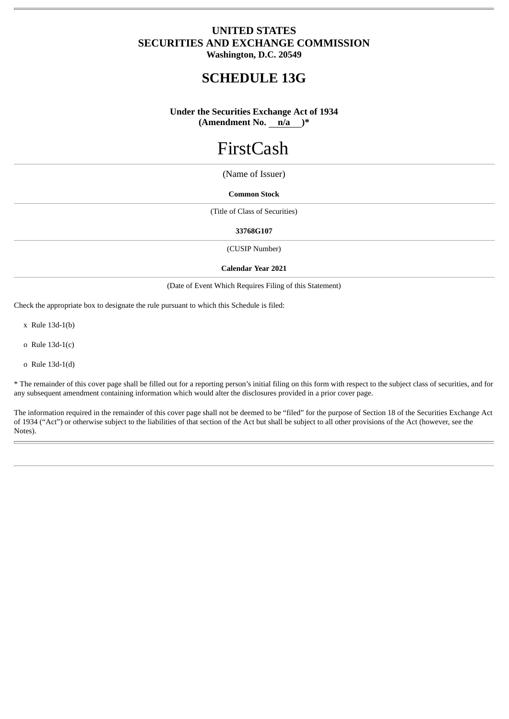# **UNITED STATES SECURITIES AND EXCHANGE COMMISSION Washington, D.C. 20549**

**SCHEDULE 13G**

**Under the Securities Exchange Act of 1934 (Amendment No. n/a )\***

# FirstCash

(Name of Issuer)

## **Common Stock**

(Title of Class of Securities)

## **33768G107**

(CUSIP Number)

#### **Calendar Year 2021**

(Date of Event Which Requires Filing of this Statement)

Check the appropriate box to designate the rule pursuant to which this Schedule is filed:

x Rule 13d-1(b)

o Rule 13d-1(c)

o Rule 13d-1(d)

\* The remainder of this cover page shall be filled out for a reporting person's initial filing on this form with respect to the subject class of securities, and for any subsequent amendment containing information which would alter the disclosures provided in a prior cover page.

The information required in the remainder of this cover page shall not be deemed to be "filed" for the purpose of Section 18 of the Securities Exchange Act of 1934 ("Act") or otherwise subject to the liabilities of that section of the Act but shall be subject to all other provisions of the Act (however, see the Notes).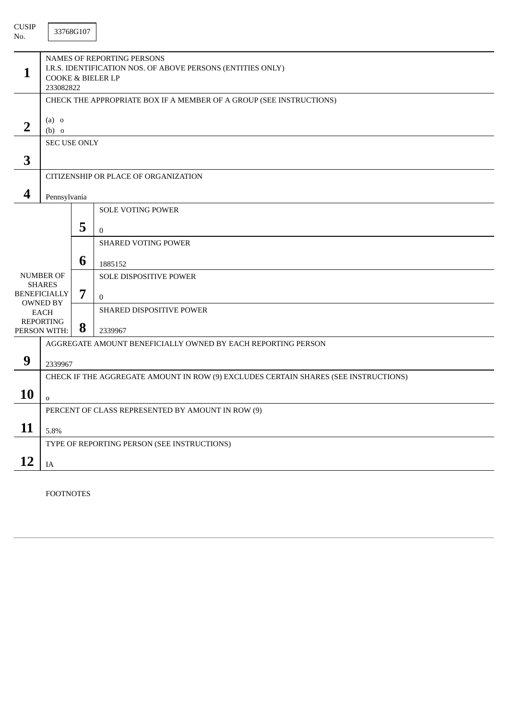| <b>CUSIP</b><br>No.               |                                                                                                                                        | 33768G107 |                          |  |  |  |
|-----------------------------------|----------------------------------------------------------------------------------------------------------------------------------------|-----------|--------------------------|--|--|--|
| 1                                 | NAMES OF REPORTING PERSONS<br>I.R.S. IDENTIFICATION NOS. OF ABOVE PERSONS (ENTITIES ONLY)<br><b>COOKE &amp; BIELER LP</b><br>233082822 |           |                          |  |  |  |
|                                   | CHECK THE APPROPRIATE BOX IF A MEMBER OF A GROUP (SEE INSTRUCTIONS)                                                                    |           |                          |  |  |  |
| $\overline{2}$                    | $(a)$ o<br>$(b)$ o                                                                                                                     |           |                          |  |  |  |
|                                   | <b>SEC USE ONLY</b>                                                                                                                    |           |                          |  |  |  |
| 3                                 |                                                                                                                                        |           |                          |  |  |  |
|                                   | CITIZENSHIP OR PLACE OF ORGANIZATION                                                                                                   |           |                          |  |  |  |
| 4                                 | Pennsylvania                                                                                                                           |           |                          |  |  |  |
|                                   |                                                                                                                                        |           | <b>SOLE VOTING POWER</b> |  |  |  |
|                                   |                                                                                                                                        |           |                          |  |  |  |
|                                   |                                                                                                                                        | 5         | $\mathbf{0}$             |  |  |  |
|                                   |                                                                                                                                        |           | SHARED VOTING POWER      |  |  |  |
|                                   |                                                                                                                                        | 6         | 1885152                  |  |  |  |
| <b>NUMBER OF</b><br><b>SHARES</b> |                                                                                                                                        |           | SOLE DISPOSITIVE POWER   |  |  |  |
|                                   | <b>BENEFICIALLY</b>                                                                                                                    | 7         | $\mathbf{0}$             |  |  |  |
|                                   | <b>OWNED BY</b><br><b>EACH</b>                                                                                                         |           | SHARED DISPOSITIVE POWER |  |  |  |
|                                   | <b>REPORTING</b>                                                                                                                       | 8         |                          |  |  |  |
|                                   | PERSON WITH:<br>2339967<br>AGGREGATE AMOUNT BENEFICIALLY OWNED BY EACH REPORTING PERSON                                                |           |                          |  |  |  |
|                                   |                                                                                                                                        |           |                          |  |  |  |
| 9                                 | 2339967                                                                                                                                |           |                          |  |  |  |
|                                   | CHECK IF THE AGGREGATE AMOUNT IN ROW (9) EXCLUDES CERTAIN SHARES (SEE INSTRUCTIONS)                                                    |           |                          |  |  |  |
| 10                                | $\mathbf 0$                                                                                                                            |           |                          |  |  |  |
|                                   | PERCENT OF CLASS REPRESENTED BY AMOUNT IN ROW (9)                                                                                      |           |                          |  |  |  |
| 11                                | 5.8%                                                                                                                                   |           |                          |  |  |  |
|                                   | TYPE OF REPORTING PERSON (SEE INSTRUCTIONS)                                                                                            |           |                          |  |  |  |
| 12                                | $\rm IA$                                                                                                                               |           |                          |  |  |  |

FOOTNOTES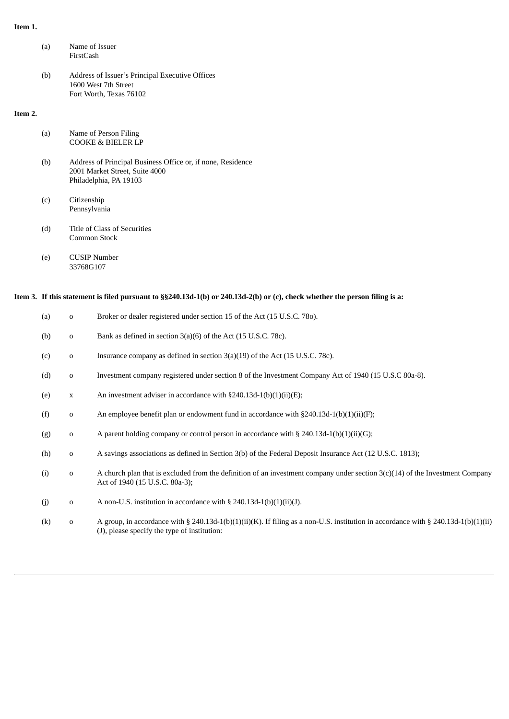# **Item 1.**

|         | (a)                                                                                                                         | FirstCash                                                                                                               | Name of Issuer                                                                                                                                                   |  |
|---------|-----------------------------------------------------------------------------------------------------------------------------|-------------------------------------------------------------------------------------------------------------------------|------------------------------------------------------------------------------------------------------------------------------------------------------------------|--|
|         | (b)                                                                                                                         | Address of Issuer's Principal Executive Offices<br>1600 West 7th Street<br>Fort Worth, Texas 76102                      |                                                                                                                                                                  |  |
| Item 2. |                                                                                                                             |                                                                                                                         |                                                                                                                                                                  |  |
|         | (a)                                                                                                                         | Name of Person Filing<br><b>COOKE &amp; BIELER LP</b>                                                                   |                                                                                                                                                                  |  |
|         | (b)                                                                                                                         | Address of Principal Business Office or, if none, Residence<br>2001 Market Street, Suite 4000<br>Philadelphia, PA 19103 |                                                                                                                                                                  |  |
|         | (c)                                                                                                                         | Citizenship<br>Pennsylvania                                                                                             |                                                                                                                                                                  |  |
|         | (d)                                                                                                                         | Title of Class of Securities<br>Common Stock                                                                            |                                                                                                                                                                  |  |
|         | (e)                                                                                                                         | <b>CUSIP Number</b><br>33768G107                                                                                        |                                                                                                                                                                  |  |
|         | Item 3. If this statement is filed pursuant to §§240.13d-1(b) or 240.13d-2(b) or (c), check whether the person filing is a: |                                                                                                                         |                                                                                                                                                                  |  |
|         | (a)                                                                                                                         | $\mathbf 0$                                                                                                             | Broker or dealer registered under section 15 of the Act (15 U.S.C. 780).                                                                                         |  |
|         | (b)                                                                                                                         | 0                                                                                                                       | Bank as defined in section 3(a)(6) of the Act (15 U.S.C. 78c).                                                                                                   |  |
|         | (c)                                                                                                                         | 0                                                                                                                       | Insurance company as defined in section 3(a)(19) of the Act (15 U.S.C. 78c).                                                                                     |  |
|         | (d)                                                                                                                         | 0                                                                                                                       | Investment company registered under section 8 of the Investment Company Act of 1940 (15 U.S.C 80a-8).                                                            |  |
|         | (e)                                                                                                                         | X                                                                                                                       | An investment adviser in accordance with §240.13d-1(b)(1)(ii)(E);                                                                                                |  |
|         | (f)                                                                                                                         | 0                                                                                                                       | An employee benefit plan or endowment fund in accordance with $\S 240.13d-1(b)(1)(ii)(F)$ ;                                                                      |  |
|         | (g)                                                                                                                         | o                                                                                                                       | A parent holding company or control person in accordance with § 240.13d-1(b)(1)(ii)(G);                                                                          |  |
|         | (h)                                                                                                                         | 0                                                                                                                       | A savings associations as defined in Section 3(b) of the Federal Deposit Insurance Act (12 U.S.C. 1813);                                                         |  |
|         | (i)                                                                                                                         | 0                                                                                                                       | A church plan that is excluded from the definition of an investment company under section $3(c)(14)$ of the Investment Company<br>Act of 1940 (15 U.S.C. 80a-3); |  |
|         | (j)                                                                                                                         | 0                                                                                                                       | A non-U.S. institution in accordance with § 240.13d-1(b)(1)(ii)(J).                                                                                              |  |
|         | (k)                                                                                                                         | 0                                                                                                                       | A group, in accordance with § 240.13d-1(b)(1)(ii)(K). If filing as a non-U.S. institution in accordance with § 240.13d-1(b)(1)(ii)                               |  |

(J), please specify the type of institution: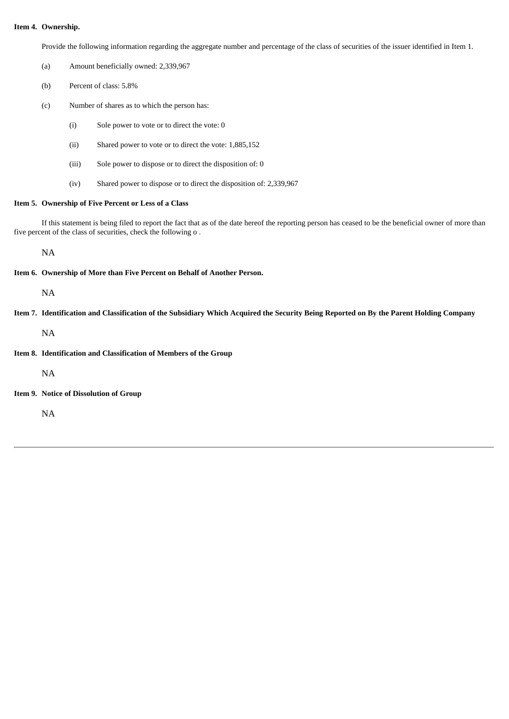# **Item 4. Ownership.**

Provide the following information regarding the aggregate number and percentage of the class of securities of the issuer identified in Item 1.

- (a) Amount beneficially owned: 2,339,967
- (b) Percent of class: 5.8%
- (c) Number of shares as to which the person has:
	- (i) Sole power to vote or to direct the vote: 0
	- (ii) Shared power to vote or to direct the vote: 1,885,152
	- (iii) Sole power to dispose or to direct the disposition of: 0
	- (iv) Shared power to dispose or to direct the disposition of: 2,339,967

### **Item 5. Ownership of Five Percent or Less of a Class**

If this statement is being filed to report the fact that as of the date hereof the reporting person has ceased to be the beneficial owner of more than five percent of the class of securities, check the following o .

NA

**Item 6. Ownership of More than Five Percent on Behalf of Another Person.**

NA

Item 7. Identification and Classification of the Subsidiary Which Acquired the Security Being Reported on By the Parent Holding Company

NA

**Item 8. Identification and Classification of Members of the Group**

NA

**Item 9. Notice of Dissolution of Group**

NA